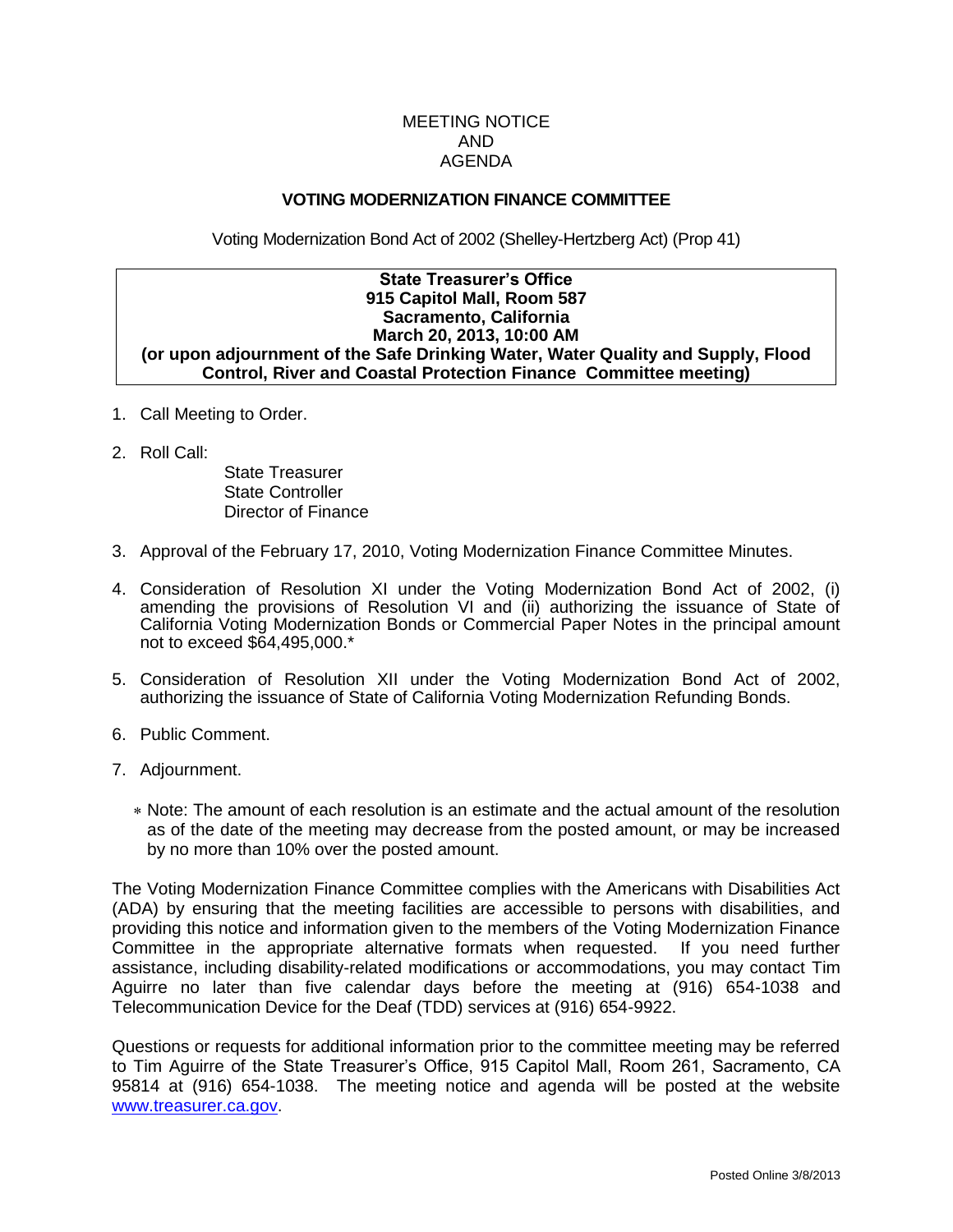# MEETING NOTICE AND AGENDA

### **VOTING MODERNIZATION FINANCE COMMITTEE**

Voting Modernization Bond Act of 2002 (Shelley-Hertzberg Act) (Prop 41)

#### **State Treasurer's Office 915 Capitol Mall, Room 587 Sacramento, California March 20, 2013, 10:00 AM (or upon adjournment of the Safe Drinking Water, Water Quality and Supply, Flood Control, River and Coastal Protection Finance Committee meeting)**

- 1. Call Meeting to Order.
- 2. Roll Call:

State Treasurer State Controller Director of Finance

- 3. Approval of the February 17, 2010, Voting Modernization Finance Committee Minutes.
- 4. Consideration of Resolution XI under the Voting Modernization Bond Act of 2002, (i) amending the provisions of Resolution VI and (ii) authorizing the issuance of State of California Voting Modernization Bonds or Commercial Paper Notes in the principal amount not to exceed \$64,495,000.\*
- 5. Consideration of Resolution XII under the Voting Modernization Bond Act of 2002, authorizing the issuance of State of California Voting Modernization Refunding Bonds.
- 6. Public Comment.
- 7. Adjournment.
	- Note: The amount of each resolution is an estimate and the actual amount of the resolution as of the date of the meeting may decrease from the posted amount, or may be increased by no more than 10% over the posted amount.

The Voting Modernization Finance Committee complies with the Americans with Disabilities Act (ADA) by ensuring that the meeting facilities are accessible to persons with disabilities, and providing this notice and information given to the members of the Voting Modernization Finance Committee in the appropriate alternative formats when requested. If you need further assistance, including disability-related modifications or accommodations, you may contact Tim Aguirre no later than five calendar days before the meeting at (916) 654-1038 and Telecommunication Device for the Deaf (TDD) services at (916) 654-9922.

Questions or requests for additional information prior to the committee meeting may be referred to Tim Aguirre of the State Treasurer's Office, 915 Capitol Mall, Room 261, Sacramento, CA 95814 at (916) 654-1038. The meeting notice and agenda will be posted at the website [www.treasurer.ca.gov.](http://www.treasurer.ca.gov/)